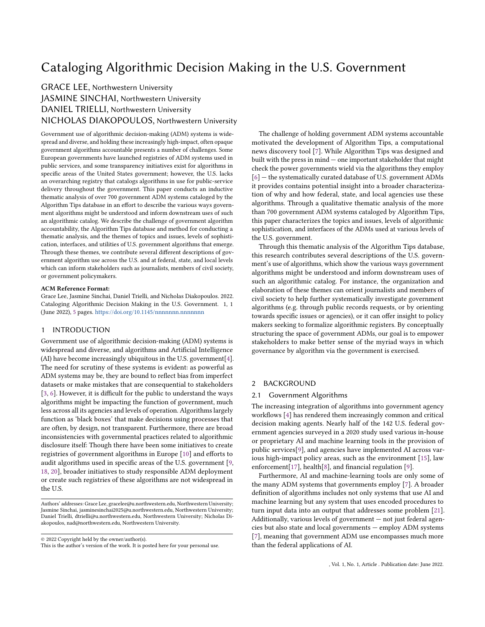# Cataloging Algorithmic Decision Making in the U.S. Government

# GRACE LEE, Northwestern University

JASMINE SINCHAI, Northwestern University DANIEL TRIELLI, Northwestern University NICHOLAS DIAKOPOULOS, Northwestern University

Government use of algorithmic decision-making (ADM) systems is widespread and diverse, and holding these increasingly high-impact, often opaque government algorithms accountable presents a number of challenges. Some European governments have launched registries of ADM systems used in public services, and some transparency initiatives exist for algorithms in specific areas of the United States government; however, the U.S. lacks an overarching registry that catalogs algorithms in use for public-service delivery throughout the government. This paper conducts an inductive thematic analysis of over 700 government ADM systems cataloged by the Algorithm Tips database in an effort to describe the various ways government algorithms might be understood and inform downstream uses of such an algorithmic catalog. We describe the challenge of government algorithm accountability, the Algorithm Tips database and method for conducting a thematic analysis, and the themes of topics and issues, levels of sophistication, interfaces, and utilities of U.S. government algorithms that emerge. Through these themes, we contribute several different descriptions of government algorithm use across the U.S. and at federal, state, and local levels which can inform stakeholders such as journalists, members of civil society, or government policymakers.

#### ACM Reference Format:

Grace Lee, Jasmine Sinchai, Daniel Trielli, and Nicholas Diakopoulos. 2022. Cataloging Algorithmic Decision Making in the U.S. Government. 1, 1 (June 2022), [5](#page-4-0) pages. <https://doi.org/10.1145/nnnnnnn.nnnnnnn>

### 1 INTRODUCTION

Government use of algorithmic decision-making (ADM) systems is widespread and diverse, and algorithms and Artificial Intelligence (AI) have become increasingly ubiquitous in the U.S. government[\[4\]](#page-4-1). The need for scrutiny of these systems is evident: as powerful as ADM systems may be, they are bound to reflect bias from imperfect datasets or make mistakes that are consequential to stakeholders [\[3,](#page-4-2) [6\]](#page-4-3). However, it is difficult for the public to understand the ways algorithms might be impacting the function of government, much less across all its agencies and levels of operation. Algorithms largely function as 'black boxes' that make decisions using processes that are often, by design, not transparent. Furthermore, there are broad inconsistencies with governmental practices related to algorithmic disclosure itself: Though there have been some initiatives to create registries of government algorithms in Europe [\[10\]](#page-4-4) and efforts to audit algorithms used in specific areas of the U.S. government [\[9,](#page-4-5) [18,](#page-4-6) [20\]](#page-4-7), broader initiatives to study responsible ADM deployment or create such registries of these algorithms are not widespread in the U.S.

© 2022 Copyright held by the owner/author(s).

The challenge of holding government ADM systems accountable motivated the development of Algorithm Tips, a computational news discovery tool [\[7\]](#page-4-8). While Algorithm Tips was designed and built with the press in mind — one important stakeholder that might check the power governments wield via the algorithms they employ [\[6\]](#page-4-3) — the systematically curated database of U.S. government ADMs it provides contains potential insight into a broader characterization of why and how federal, state, and local agencies use these algorithms. Through a qualitative thematic analysis of the more than 700 government ADM systems cataloged by Algorithm Tips, this paper characterizes the topics and issues, levels of algorithmic sophistication, and interfaces of the ADMs used at various levels of the U.S. government.

Through this thematic analysis of the Algorithm Tips database, this research contributes several descriptions of the U.S. government's use of algorithms, which show the various ways government algorithms might be understood and inform downstream uses of such an algorithmic catalog. For instance, the organization and elaboration of these themes can orient journalists and members of civil society to help further systematically investigate government algorithms (e.g. through public records requests, or by orienting towards specific issues or agencies), or it can offer insight to policy makers seeking to formalize algorithmic registers. By conceptually structuring the space of government ADMs, our goal is to empower stakeholders to make better sense of the myriad ways in which governance by algorithm via the government is exercised.

## 2 BACKGROUND

#### 2.1 Government Algorithms

The increasing integration of algorithms into government agency workflows [\[4\]](#page-4-1) has rendered them increasingly common and critical decision making agents. Nearly half of the 142 U.S. federal government agencies surveyed in a 2020 study used various in-house or proprietary AI and machine learning tools in the provision of public services[\[9\]](#page-4-5), and agencies have implemented AI across various high-impact policy areas, such as the environment [\[15\]](#page-4-9), law enforcement[\[17\]](#page-4-10), health[\[8\]](#page-4-11), and financial regulation [\[9\]](#page-4-5).

Furthermore, AI and machine-learning tools are only some of the many ADM systems that governments employ [\[7\]](#page-4-8). A broader definition of algorithms includes not only systems that use AI and machine learning but any system that uses encoded procedures to turn input data into an output that addresses some problem [\[21\]](#page-4-12). Additionally, various levels of government — not just federal agencies but also state and local governments — employ ADM systems [\[7\]](#page-4-8), meaning that government ADM use encompasses much more than the federal applications of AI.

Authors' addresses: Grace Lee, gracelee@u.northwestern.edu, Northwestern University; Jasmine Sinchai, jasminesinchai2025@u.northwestern.edu, Northwestern University; Daniel Trielli, dtrielli@u.northwestern.edu, Northwestern University; Nicholas Diakopoulos, nad@northwestern.edu, Northwestern University.

This is the author's version of the work. It is posted here for your personal use.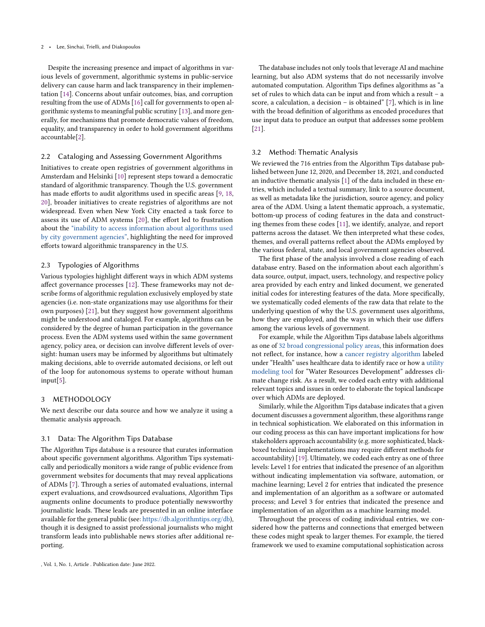Despite the increasing presence and impact of algorithms in various levels of government, algorithmic systems in public-service delivery can cause harm and lack transparency in their implementation [\[14\]](#page-4-13). Concerns about unfair outcomes, bias, and corruption resulting from the use of ADMs [\[16\]](#page-4-14) call for governments to open algorithmic systems to meaningful public scrutiny [\[13\]](#page-4-15), and more generally, for mechanisms that promote democratic values of freedom, equality, and transparency in order to hold government algorithms accountable[\[2\]](#page-4-16).

## 2.2 Cataloging and Assessing Government Algorithms

Initiatives to create open registries of government algorithms in Amsterdam and Helsinki [\[10\]](#page-4-4) represent steps toward a democratic standard of algorithmic transparency. Though the U.S. government has made efforts to audit algorithms used in specific areas [\[9,](#page-4-5) [18,](#page-4-6) [20\]](#page-4-7), broader initiatives to create registries of algorithms are not widespread. Even when New York City enacted a task force to assess its use of ADM systems [\[20\]](#page-4-7), the effort led to frustration about the ["inability to access information about algorithms used](https://venturebeat.com/2020/09/28/amsterdam-and-helsinki-launch-algorithm-registries-to-bring-transparency-to-public-deployments-of-ai/) [by city government agencies",](https://venturebeat.com/2020/09/28/amsterdam-and-helsinki-launch-algorithm-registries-to-bring-transparency-to-public-deployments-of-ai/) highlighting the need for improved efforts toward algorithmic transparency in the U.S.

## 2.3 Typologies of Algorithms

Various typologies highlight different ways in which ADM systems affect governance processes [\[12\]](#page-4-17). These frameworks may not describe forms of algorithmic regulation exclusively employed by state agencies (i.e. non-state organizations may use algorithms for their own purposes) [\[21\]](#page-4-12), but they suggest how government algorithms might be understood and cataloged. For example, algorithms can be considered by the degree of human participation in the governance process. Even the ADM systems used within the same government agency, policy area, or decision can involve different levels of oversight: human users may be informed by algorithms but ultimately making decisions, able to override automated decisions, or left out of the loop for autonomous systems to operate without human input[\[5\]](#page-4-18).

#### 3 METHODOLOGY

We next describe our data source and how we analyze it using a thematic analysis approach.

## 3.1 Data: The Algorithm Tips Database

The Algorithm Tips database is a resource that curates information about specific government algorithms. Algorithm Tips systematically and periodically monitors a wide range of public evidence from government websites for documents that may reveal applications of ADMs [\[7\]](#page-4-8). Through a series of automated evaluations, internal expert evaluations, and crowdsourced evaluations, Algorithm Tips augments online documents to produce potentially newsworthy journalistic leads. These leads are presented in an online interface available for the general public (see: [https://db.algorithmtips.org/db\)](https://db.algorithmtips.org/db), though it is designed to assist professional journalists who might transform leads into publishable news stories after additional reporting.

The database includes not only tools that leverage AI and machine learning, but also ADM systems that do not necessarily involve automated computation. Algorithm Tips defines algorithms as "a set of rules to which data can be input and from which a result – a score, a calculation, a decision – is obtained" [\[7\]](#page-4-8), which is in line with the broad definition of algorithms as encoded procedures that use input data to produce an output that addresses some problem [\[21\]](#page-4-12).

### 3.2 Method: Thematic Analysis

We reviewed the 716 entries from the Algorithm Tips database published between June 12, 2020, and December 18, 2021, and conducted an inductive thematic analysis [\[1\]](#page-4-19) of the data included in these entries, which included a textual summary, link to a source document, as well as metadata like the jurisdiction, source agency, and policy area of the ADM. Using a latent thematic approach, a systematic, bottom-up process of coding features in the data and constructing themes from these codes [\[11\]](#page-4-20), we identify, analyze, and report patterns across the dataset. We then interpreted what these codes, themes, and overall patterns reflect about the ADMs employed by the various federal, state, and local government agencies observed.

The first phase of the analysis involved a close reading of each database entry. Based on the information about each algorithm's data source, output, impact, users, technology, and respective policy area provided by each entry and linked document, we generated initial codes for interesting features of the data. More specifically, we systematically coded elements of the raw data that relate to the underlying question of why the U.S. government uses algorithms, how they are employed, and the ways in which their use differs among the various levels of government.

For example, while the Algorithm Tips database labels algorithms as one of [32 broad congressional policy areas,](https://www.congress.gov/help/field-values/policy-area) this information does not reflect, for instance, how a [cancer registry algorithm](https://db.algorithmtips.org/lead/110837) labeled under "Health" uses healthcare data to identify race or how a [utility](https://db.algorithmtips.org/lead/74322) [modeling tool](https://db.algorithmtips.org/lead/74322) for "Water Resources Development" addresses climate change risk. As a result, we coded each entry with additional relevant topics and issues in order to elaborate the topical landscape over which ADMs are deployed.

Similarly, while the Algorithm Tips database indicates that a given document discusses a government algorithm, these algorithms range in technical sophistication. We elaborated on this information in our coding process as this can have important implications for how stakeholders approach accountability (e.g. more sophisticated, blackboxed technical implementations may require different methods for accountability) [\[19\]](#page-4-21). Ultimately, we coded each entry as one of three levels: Level 1 for entries that indicated the presence of an algorithm without indicating implementation via software, automation, or machine learning; Level 2 for entries that indicated the presence and implementation of an algorithm as a software or automated process; and Level 3 for entries that indicated the presence and implementation of an algorithm as a machine learning model.

Throughout the process of coding individual entries, we considered how the patterns and connections that emerged between these codes might speak to larger themes. For example, the tiered framework we used to examine computational sophistication across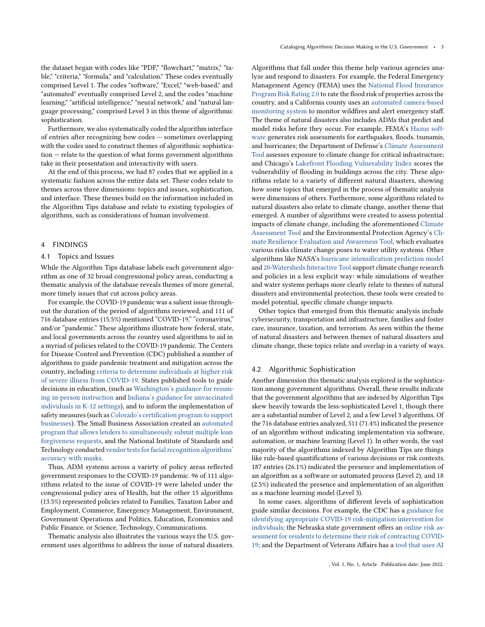the dataset began with codes like "PDF," "flowchart," "matrix," "table," "criteria," "formula," and "calculation." These codes eventually comprised Level 1. The codes "software," "Excel," "web-based," and "automated" eventually comprised Level 2, and the codes "machine learning," "artificial intelligence," "neural network," and "natural language processing," comprised Level 3 in this theme of algorithmic sophistication.

Furthermore, we also systematically coded the algorithm interface of entries after recognizing how codes — sometimes overlapping with the codes used to construct themes of algorithmic sophistication — relate to the question of what forms government algorithms take in their presentation and interactivity with users.

At the end of this process, we had 87 codes that we applied in a systematic fashion across the entire data set. These codes relate to themes across three dimensions: topics and issues, sophistication, and interface. These themes build on the information included in the Algorithm Tips database and relate to existing typologies of algorithms, such as considerations of human involvement.

#### 4 FINDINGS

#### 4.1 Topics and Issues

While the Algorithm Tips database labels each government algorithm as one of 32 broad congressional policy areas, conducting a thematic analysis of the database reveals themes of more general, more timely issues that cut across policy areas.

For example, the COVID-19 pandemic was a salient issue throughout the duration of the period of algorithms reviewed, and 111 of 716 database entries (15.5%) mentioned "COVID-19," "coronavirus," and/or "pandemic." These algorithms illustrate how federal, state, and local governments across the country used algorithms to aid in a myriad of policies related to the COVID-19 pandemic. The Centers for Disease Control and Prevention (CDC) published a number of algorithms to guide pandemic treatment and mitigation across the country, including [criteria to determine individuals at higher risk](https://db.algorithmtips.org/lead/28264) [of severe illness from COVID-19.](https://db.algorithmtips.org/lead/28264) States published tools to guide decisions in education, (such as [Washington's guidance for resum](https://db.algorithmtips.org/lead/68123)[ing in-person instruction](https://db.algorithmtips.org/lead/68123) and [Indiana's guidance for unvaccinated](https://db.algorithmtips.org/lead/107703) [individuals in K-12 settings\)](https://db.algorithmtips.org/lead/107703), and to inform the implementation of safety measures (such as [Colorado's certification program to support](https://db.algorithmtips.org/lead/66140) [businesses\)](https://db.algorithmtips.org/lead/66140). The Small Business Association created an [automated](https://db.algorithmtips.org/lead/28959) [program that allows lenders to simultaneously submit multiple loan](https://db.algorithmtips.org/lead/28959) [forgiveness requests,](https://db.algorithmtips.org/lead/28959) and the National Institute of Standards and Technology conducted [vendor tests for facial recognition algorithms'](https://db.algorithmtips.org/lead/105283) [accuracy with masks.](https://db.algorithmtips.org/lead/105283)

Thus, ADM systems across a variety of policy areas reflected government responses to the COVID-19 pandemic. 96 of 111 algorithms related to the issue of COVID-19 were labeled under the congressional policy area of Health, but the other 15 algorithms (13.5%) represented policies related to Families, Taxation Labor and Employment, Commerce, Emergency Management, Environment, Government Operations and Politics, Education, Economics and Public Finance, or Science, Technology, Communications.

Thematic analysis also illustrates the various ways the U.S. government uses algorithms to address the issue of natural disasters.

Algorithms that fall under this theme help various agencies analyze and respond to disasters. For example, the Federal Emergency Management Agency (FEMA) uses the [National Flood Insurance](https://db.algorithmtips.org/lead/26152) [Program Risk Rating 2.0](https://db.algorithmtips.org/lead/26152) to rate the flood risk of properties across the country, and a California county uses an [automated camera-based](https://db.algorithmtips.org/lead/86255) [monitoring system](https://db.algorithmtips.org/lead/86255) to monitor wildfires and alert emergency staff. The theme of natural disasters also includes ADMs that predict and model risks before they occur. For example, FEMA's [Hazus soft](https://db.algorithmtips.org/lead/79316)[ware](https://db.algorithmtips.org/lead/79316) generates risk assessments for earthquakes, floods, tsunamis, and hurricanes; the Department of Defense's [Climate Assessment](https://db.algorithmtips.org/lead/117193) [Tool](https://db.algorithmtips.org/lead/117193) assesses exposure to climate change for critical infrastructure; and Chicago's [Lakefront Flooding Vulnerability Index](https://db.algorithmtips.org/lead/27576) scores the vulnerability of flooding in buildings across the city. These algorithms relate to a variety of different natural disasters, showing how some topics that emerged in the process of thematic analysis were dimensions of others. Furthermore, some algorithms related to natural disasters also relate to climate change, another theme that emerged. A number of algorithms were created to assess potential impacts of climate change, including the aforementioned [Climate](https://db.algorithmtips.org/lead/117193) [Assessment Tool](https://db.algorithmtips.org/lead/117193) and the Environmental Protection Agency's [Cli](https://db.algorithmtips.org/lead/74322)[mate Resilience Evaluation and Awareness Tool,](https://db.algorithmtips.org/lead/74322) which evaluates various risks climate change poses to water utility systems. Other algorithms like NASA's [hurricane intensification prediction model](https://db.algorithmtips.org/lead/94389) and [20-Watersheds Interactive Tool](https://db.algorithmtips.org/lead/41364) support climate change research and policies in a less explicit way: while simulations of weather and water systems perhaps more clearly relate to themes of natural disasters and environmental protection, these tools were created to model potential, specific climate change impacts.

Other topics that emerged from this thematic analysis include cybersecurity, transportation and infrastructure, families and foster care, insurance, taxation, and terrorism. As seen within the theme of natural disasters and between themes of natural disasters and climate change, these topics relate and overlap in a variety of ways.

#### 4.2 Algorithmic Sophistication

Another dimension this thematic analysis explored is the sophistication among government algorithms. Overall, these results indicate that the government algorithms that are indexed by Algorithm Tips skew heavily towards the less-sophisticated Level 1, though there are a substantial number of Level 2, and a few Level 3 algorithms. Of the 716 database entries analyzed, 511 (71.4%) indicated the presence of an algorithm without indicating implementation via software, automation, or machine learning (Level 1). In other words, the vast majority of the algorithms indexed by Algorithm Tips are things like rule-based quantifications of various decisions or risk contexts. 187 entries (26.1%) indicated the presence and implementation of an algorithm as a software or automated process (Level 2), and 18 (2.5%) indicated the presence and implementation of an algorithm as a machine learning model (Level 3).

In some cases, algorithms of different levels of sophistication guide similar decisions. For example, the CDC has a [guidance for](https://db.algorithmtips.org/lead/48832) [identifying appropriate COVID-19 risk-mitigation intervention for](https://db.algorithmtips.org/lead/48832) [individuals;](https://db.algorithmtips.org/lead/48832) the Nebraska state government offers an [online risk as](https://db.algorithmtips.org/lead/25998)[sessment for residents to determine their risk of contracting COVID-](https://db.algorithmtips.org/lead/25998)[19;](https://db.algorithmtips.org/lead/25998) and the Department of Veterans Affairs has a [tool that uses AI](https://db.algorithmtips.org/lead/99193)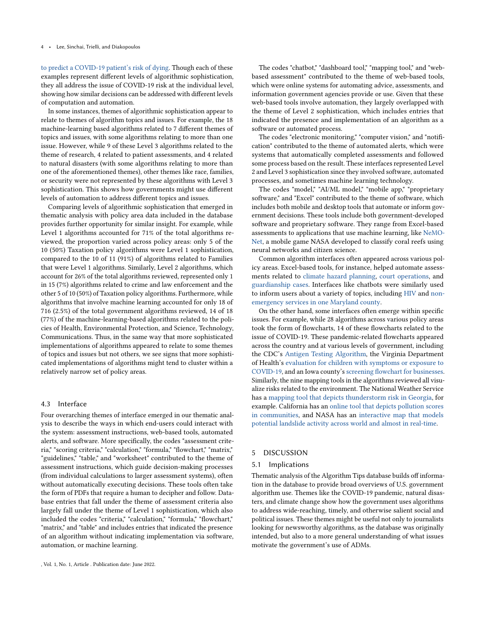[to predict a COVID-19 patient's risk of dying.](https://db.algorithmtips.org/lead/99193) Though each of these examples represent different levels of algorithmic sophistication, they all address the issue of COVID-19 risk at the individual level, showing how similar decisions can be addressed with different levels of computation and automation.

In some instances, themes of algorithmic sophistication appear to relate to themes of algorithm topics and issues. For example, the 18 machine-learning based algorithms related to 7 different themes of topics and issues, with some algorithms relating to more than one issue. However, while 9 of these Level 3 algorithms related to the theme of research, 4 related to patient assessments, and 4 related to natural disasters (with some algorithms relating to more than one of the aforementioned themes), other themes like race, families, or security were not represented by these algorithms with Level 3 sophistication. This shows how governments might use different levels of automation to address different topics and issues.

Comparing levels of algorithmic sophistication that emerged in thematic analysis with policy area data included in the database provides further opportunity for similar insight. For example, while Level 1 algorithms accounted for 71% of the total algorithms reviewed, the proportion varied across policy areas: only 5 of the 10 (50%) Taxation policy algorithms were Level 1 sophistication, compared to the 10 of 11 (91%) of algorithms related to Families that were Level 1 algorithms. Similarly, Level 2 algorithms, which account for 26% of the total algorithms reviewed, represented only 1 in 15 (7%) algorithms related to crime and law enforcement and the other 5 of 10 (50%) of Taxation policy algorithms. Furthermore, while algorithms that involve machine learning accounted for only 18 of 716 (2.5%) of the total government algorithms reviewed, 14 of 18 (77%) of the machine-learning-based algorithms related to the policies of Health, Environmental Protection, and Science, Technology, Communications. Thus, in the same way that more sophisticated implementations of algorithms appeared to relate to some themes of topics and issues but not others, we see signs that more sophisticated implementations of algorithms might tend to cluster within a relatively narrow set of policy areas.

## 4.3 Interface

Four overarching themes of interface emerged in our thematic analysis to describe the ways in which end-users could interact with the system: assessment instructions, web-based tools, automated alerts, and software. More specifically, the codes "assessment criteria," "scoring criteria," "calculation," "formula," "flowchart," "matrix," "guidelines," "table," and "worksheet" contributed to the theme of assessment instructions, which guide decision-making processes (from individual calculations to larger assessment systems), often without automatically executing decisions. These tools often take the form of PDFs that require a human to decipher and follow. Database entries that fall under the theme of assessment criteria also largely fall under the theme of Level 1 sophistication, which also included the codes "criteria," "calculation," "formula," "flowchart," "matrix," and "table" and includes entries that indicated the presence of an algorithm without indicating implementation via software, automation, or machine learning.

The codes "chatbot," "dashboard tool," "mapping tool," and "webbased assessment" contributed to the theme of web-based tools, which were online systems for automating advice, assessments, and information government agencies provide or use. Given that these web-based tools involve automation, they largely overlapped with the theme of Level 2 sophistication, which includes entries that indicated the presence and implementation of an algorithm as a software or automated process.

The codes "electronic monitoring," "computer vision," and "notification" contributed to the theme of automated alerts, which were systems that automatically completed assessments and followed some process based on the result. These interfaces represented Level 2 and Level 3 sophistication since they involved software, automated processes, and sometimes machine learning technology.

The codes "model," "AI/ML model," "mobile app," "proprietary software," and "Excel" contributed to the theme of software, which includes both mobile and desktop tools that automate or inform government decisions. These tools include both government-developed software and proprietary software. They range from Excel-based assessments to applications that use machine learning, like [NeMO-](https://db.algorithmtips.org/lead/26586)[Net,](https://db.algorithmtips.org/lead/26586) a mobile game NASA developed to classify coral reefs using neural networks and citizen science.

Common algorithm interfaces often appeared across various policy areas. Excel-based tools, for instance, helped automate assessments related to [climate hazard planning,](https://db.algorithmtips.org/lead/100309) [court operations,](https://db.algorithmtips.org/lead/103348) and [guardianship cases.](https://db.algorithmtips.org/lead/25733) Interfaces like chatbots were similarly used to inform users about a variety of topics, including [HIV](https://db.algorithmtips.org/lead/94269) and [non](https://db.algorithmtips.org/lead/100497)[emergency services in one Maryland county.](https://db.algorithmtips.org/lead/100497)

On the other hand, some interfaces often emerge within specific issues. For example, while 28 algorithms across various policy areas took the form of flowcharts, 14 of these flowcharts related to the issue of COVID-19. These pandemic-related flowcharts appeared across the country and at various levels of government, including the CDC's [Antigen Testing Algorithm,](https://db.algorithmtips.org/lead/101835) the Virginia Department of Health's [evaluation for children with symptoms or exposure to](https://db.algorithmtips.org/lead/106554) [COVID-19,](https://db.algorithmtips.org/lead/106554) and an Iowa county's [screening flowchart for businesses.](https://db.algorithmtips.org/lead/94483) Similarly, the nine mapping tools in the algorithms reviewed all visualize risks related to the environment. The National Weather Service has a [mapping tool that depicts thunderstorm risk in Georgia,](https://db.algorithmtips.org/lead/101277) for example. California has an [online tool that depicts pollution scores](https://db.algorithmtips.org/lead/77878) [in communities,](https://db.algorithmtips.org/lead/77878) and NASA has an [interactive map that models](https://db.algorithmtips.org/lead/94484) [potential landslide activity across world and almost in real-time.](https://db.algorithmtips.org/lead/94484)

# 5 DISCUSSION

#### 5.1 Implications

Thematic analysis of the Algorithm Tips database builds off information in the database to provide broad overviews of U.S. government algorithm use. Themes like the COVID-19 pandemic, natural disasters, and climate change show how the government uses algorithms to address wide-reaching, timely, and otherwise salient social and political issues. These themes might be useful not only to journalists looking for newsworthy algorithms, as the database was originally intended, but also to a more general understanding of what issues motivate the government's use of ADMs.